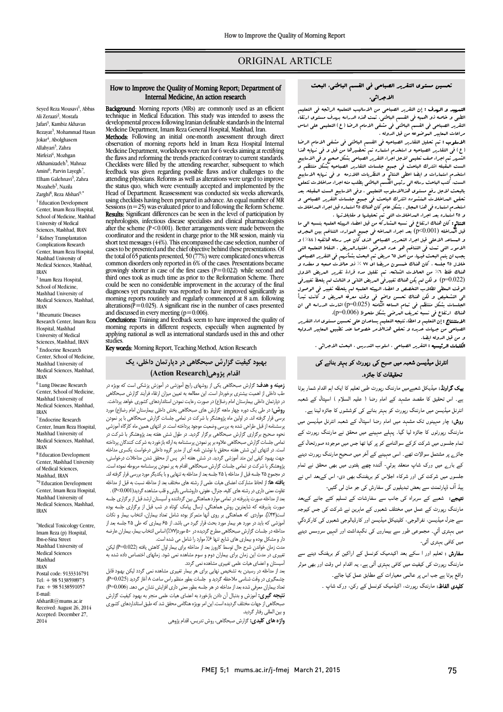# ORIGINAL ARTICLE

## تحسین مستوي التقریر الصباحی فی القسم الباطنی، البحث الاجرائی.

Ī  $\overline{a}$ 

مستقبرسی.<br>**التمهید و الهدف :** إن التقریر الصباحی من الاسالیب التعلمیه الرائجه فی التعلیم ֡֜֜ ة.<br>-الطبی و خاصه ذو اهمیه فی القسم الباطنی. تمت هذه الدراسه بهدف مستوي ارتقاء التقریر الصباحی فی القسم الباطنی فی مشفی الامام الرضا (ع) التعلیمی علی اساس مراعات المعاییر الموضوعه من قبل الدوله .

 الاسلوب : تم تحلیل التقاریر الصباحیه فی القسم الباطنی فی مشفی الامام الرضا (ع) فی التقاریر الصباحیه و استخدم استماره تم تحضیرها من قبل و فی نهایه هذا الشریر تم اجراء صف تعلیمی لاجل اجراء التقریر الصباحی بشکل صحیح و فی الاسابیع<br>لست البقبله انترك الباحث فی جبیع جلسات التقاریر الصباحیه جشکل منتظم و استخدم استمارات و ایضا اعطی النتائج و النظریات اللازمه و فی نهایه الاسابیع بالبحث لاجل رفع مستوي هذاالاسلوب التعلیمی . وفی الاسابیع الست المقبله، بعد تحقق البداخلات البنشوده اشترك الباحث فی جبیع جلسات التقریر الصباحی و<br>بعد البراحلات البلنشوده است و با این الملاح و است و است و است الله الله الله الله الله و 25 استماره بعد اجراء المداخلات التی تم تحلیلها و مقابلاتها . الست المقبله اشترك الباحث فی جمیع جلسات التقاریر الصباحیه بشکل منتظم و الست، کتب الباحث رساله الی رئیس القسم الباطنی یطلب منه اجراء مداخلات تتعلق استخدم استماره فی هذا المجال . بشکل عام کان هناك 25 استماره قبل اجراء المداخلات

ا**لنتائج:** کان هناك ارتفاع فی نسبه المشارکه من قبل اعضاء الریبثه العلمیه بنسبه الی ما<br>قبل من ابزاد (001 0×0) قبل البداخله (0.001)[p]) بعد اجراء البداخه فی جبیع البوارد. التناغم بین البجری<br>و البساعد الاعلی قبل اجراء التحریر الصباحی الذی کان عبر رباله هاتفیه ( ٤٤٪ ) و الامور التی تمت فی التناغم هو عدد المرضی، اختیارالمریض ، النقاط التعلمیه التی خلال 25 جلسه ، کان هناك خمسون مریضا اي 77 % ذو حالات صعبه و معقده و هناك فقط ٦% من الحالات الشائعه. تم تقلیل مده قراءة تقریر البریض الاول<br>(0020 - 1000) من المراكبه قدران تنبيط الارتباطان الثاني المطلب المغلبات. الوقت المعطی لطلاب التخصص و اعضاء الهیئه العلمیه لم یلحظه تغییر فی الوصول الی التشخیص و لکن هناك تحسن واضح فی وقت معرفه المریض و کانت تبدأ هناك ارتفاع فی نسبه تعریف المرضی بشکل ملحوظ (0.006=p(. و المساعد الاعلی قبل اجراء التحریر الصباحی الذي کان عبر رساله هاتفیه (%44) و یجب ان یتم البحث فیها. من اصل 65 مریض تم البحث بشأنهم فی التقریر الصباحی (0.022=p (و لکن لم یکن هناك تغییرفی المریض الثانی و الثالث لم یلحظ تغییرفی الجلسات بشکل منتظم فی تمام الساعه الثامنه (0.025=p (اشارت الدراسه الی ان

الاستنتاج : إن التعلیم و اعطاء نتیجه التعلیم یساعدان علی تحسین مستوی اداء التقریر<br>اصداد استاد استاد و تصویر توقید هندالله مستقدم و استاد استاد استاد و استاد .<br>و من قبل الدوله ایضا. الصباحی من جهات عدیده و تحقق هذاالامر خصوصا عند تطبیق المعاییر الدولیه

ا**لکلهات الرئیسیه :** التقریر الصباحی ، اسلوب التدریس ، البحث الاجرائی .<br>.

# انٹرنل میڈیسن شعبہ میں صبح کی رپورٹ کو بہتر بنانے کی تحقیقات کا جائزہ۔

**یک گراونڈ:** میڈیکل شعبےمیں مارننگ رپورٹ طبی تعلیم کا ایک اہم اقدام شمار ہوتا ے۔ اس تحقیق کا مقصد مشہد کے امام رضا ( علیہ السلام ) اسپتال کے شعبہ انٹرنل میڈیسن میں مارننگ رپورٹ کو بہتر بنانے کی کوششوں کا جائزہ لینا ہے۔ **روش:** چار مېينوں تک مشېد ميں امام رضا اسپتال کے شعبہ انٹرنل ميڈيسن ميں مارننگ رپورٹوں کا جائزہ لیا گیا۔ پہلے مہینے میں محقق نے مارننگ رپورٹ کے م ں ا دہ رل بترے پر سسمل سوارت تھے۔ اسی سہینے سے امر میں صحیح مارست رپورت دیتے<br>کے بارے میں ورک شاپ منعقد ہوئي- آئندہ چھے ہفتوں میں بھی محقق نے تمام ے . بے سی مرد سے ہیں ہے ، اس میں ہے ، اس میں اس سے سے اس میں اس کے اس میں اس کے اس میں اس کے اس میں<br>جلسوں میں شرکت کی اور شرکاء اجلاس کو بریفننگ بھی دی- اس کےبعد اس نے .<br>بیڈ آف ڈپارٹمنٹ سے بعض تبدیلیوں گی سفارش کی جو مان لی گئیں-جائز<sub>ے</sub> پر مشتمل سوالات تھے۔ اسی مہینے کے آخر میں صحیح مارننگ رپورٹ دینے

**تیجے:** شعبے کے سربراہ کی جانب سے سفارشات کے تسلیم کئے جانے کےبعد مارننگ رپورٹ کے عمل میں مختلف شعبوں کے ماہرین نے شرکت کی جس کیوجہ سے جنرل میڈیسن، نفرالوجی، کلینیکل میڈیسن اور کارڈیالوجی شعبوں کی کارکردگي میں بہتری آئی۔ مجموعی طور سے بیماروں کی نگہداشت اور انہیں سروسس دینے میں کافی بہتری آئی-

**سفارش :** تعلیم اور ا سکے بعد اکیدمیک کونسل کے اراکین کو بریفنگ دینے سے<br>مصنف کے مصنف کے مصنف میں مرودے پرورے سی سیسے مسی کے بہتری میں ہے جہاز مسلم میں رہا۔<br>واقع ہوتا ہے جب اس پر عالمی معیارات کے مطابق عمل کیا جائے۔ مارننگ رپورٹ کی کیفیت میں کافی بہتری آتی ہے، یہ اقدام اس وقت اور بھی موثر

۔ ج ب سے معامل کیا ہے۔<br>**کلیدی الفاظ:** مارننگ رپورٹ، اکیڈمیک کونسل کے رکن، ورک شاپ ۔

### How to Improve the Quality of Morning Report; Department of Internal Medicine, An action research

Ī  $\overline{a}$ 

Seyed Reza Mousavi<sup>1</sup>, Abbas Ali Zeraati<sup>2</sup>, Mostafa Jafari<sup>3</sup>, Kambiz Akhavan Rezayat<sup>3</sup>, Mohammad Hasan Jokar<sup>4</sup>, Abolghasem Allahyari<sup>3</sup>, Zahra Mirfeizi<sup>4</sup>, Mozhgan Afkhamizadeh<sup>5</sup>, Mahnaz Amini<sup>6</sup>, Parvin Layegh<sup>7</sup>, Elham Galehnavi<sup>3</sup>, Zahra Mozaheb<sup>3</sup>, Nazila Zarghi<sup>8</sup>, Reza Afshari<sup>9,\*</sup> <sup>1</sup> Education Development Center, Imam Reza Hospital, School of Medicine, Mashhad University of Medical Sciences, Mashhad, IRAN <sup>2</sup> Kidney Transplantation Complications Research Center, Imam Reza Hospital, Mashhad University of Medical Sciences, Mashhad, IRAN

<sup>3</sup> Imam Reza Hospital, School of Medicine, Mashhad University of Medical Sciences, Mashhad, IRAN <sup>4</sup> Rheumatic Diseases

Research Center, Imam Reza Hospital, Mashhad University of Medical Sciences, Mashhad, IRAN <sup>5</sup> Endocrine Research Center, School of Medicine, Mashhad University of Medical Sciences, Mashhad, IRAN

<sup>6</sup> Lung Disease Research Center, School of Medicine, Mashhad University of Medical Sciences, Mashhad, IRAN

<sup>7</sup> Endocrine Research Center, Imam Reza Hospital, Mashhad University of Medical Sciences, Mashhad, IRAN <sup>8</sup> Education Development

Center, Mashhad University of Medical Sciences, Mashhad, IRAN \*<sup>9</sup> Education Development Center, Imam Reza Hospital, Mashhad University of Medical Sciences, Mashhad, IRAN

\* Medical Toxicology Centre, Imam Reza (p) Hospital, Ibn-e-Sina Street Mashhad University of Medical Sciences Mashhad IRAN Postal code: 9133316791 Tel: + 98 5138598973 Fax: + 98 5138591057 E-mail: AfshariR@mums.ac.ir Received: August 26, 2014 Accepted: December 27, 2014

 Background: Morning reports (MRs) are commonly used as an efficient technique in Medical Education. This study was intended to assess the Medicine Department, Imam Reza General Hospital, Mashhad, Iran. developmental process following Iranian definable standards in the Internal

**Methods:** Following an initial one-month assessment through direct<br>observation of morning reports held in Imam Reza Hospital Internal Medicine Department, workshops were run for 6 weeks aiming at rectifying the flaws and reforming the trends practiced contrary to current standards.<br>Checklists were filled by the attending researcher, subsequent to which attending physicians. Reforms as well as alterations were urged to improve the status quo, which were eventually accepted and implemented by the<br>Head of Department, Reassessment was conducted six weeks afterwards using checklists having been prepared in advance. An equal number of MR Results: Significant differences can be seen in the level of participation by after the scheme (P<0.001). Better arrangements were made between the coordinator and the resident in charge prior to the MR session, mainly via<br>short text messages (44%). This encompassed the case selection, pumber of cases to be presented and the chief objective behind these presentations. Of common disorders only reported in 6% of the cases. Presentations became  $g$  owingly shorter in case of the first cases  $(r = 0.022)$  while second and third ones took as much time as prior to the Reformation Scheme. There could be seen no considerable improvement in the accuracy of the final<br>diagnoses vet punctuality was reported to have improved significantly as morning reports routinely and regularly commenced at 8 a.m. following and discussed in every meeting  $(p=0.006)$ .<br>**Conclusions:** Training and feedback seem to have improved the quality of Methods: Following an initial one-month assessment through direct Checklists were filled by the attending researcher, subsequent to which feedback was given regarding possible flaws and/or challenges to the Head of Department. Reassessment was conducted six weeks afterwards, Sessions (n=25) was evaluated prior to and following the Reform Scheme. nephrologists, infectious disease specialists and clinical pharmacologists short text messages (44%). This encompassed the case selection, number of the total of  $65$  patients presented, 50 (77%) were complicated ones whereas growingly shorter in case of the first cases  $(P=0.022)$  while second and diagnoses yet punctuality was reported to have improved significantly as alterations( $\dot{P}$ =0.025). A significant rise in the number of cases presented and discussed in every meeting  $(p=0.006)$ .

**CONCUSIONS:** Framing and ACCIDACK SCCIN to have improved the quality of morning reports in different respects, especially when augmented by applying national as well as international standards used in this and other<br>studies studies.

Key words: Morning Report, Teaching Method, Action Research

# بهبود کیفیت گزارش صبحگاهی در دپارتمان داخلی، یک اقدام پژوهی(Action Research)

 زمینه و هدف: گزارش صبحگاهی یکی از روشهاي رایج آموزشی در آموزش پزشکی است که بویژه در صب داخلی از اهمیت بیستری برخوردار است. این مصانعه به نعیین میزان ارتفاء فرایند ترارس صبحت می<br>در دپارتمان داخلی بیمارستان امام رضا(ع) در صورت رعایت نمودن استانداردهای کشوری خواهد پرداخت. روش: در طی یک دوره چهار ماهه گزارش هاي صبحگاهی بخش داخلی بیمارستان امام رضا(ع) مورد برسی فرار "ترفته اند. در اوتین ماه پروهستر با سر بت در تمامی جساب "ترارس صبححاهی با پر تموتن<br>پرسشنامه از قبل طراحی شده به بررسی وضعیت موجود پرداخته است. در انتهای همین ماه کارگاه آموزشی نحوه صحیح برگزاري گزارش صبحگاهی برگزار گردید. در طول شش هفته بعد پژوهشگر با شرکت در نستی جست کرارس طباعاتسی عادوه بر پر نموتان پرسستاسا به ارامه بارخورد به سر نت کشدنان پرماسه<br>ست. در انتهای این شش هفته محقق با نوشتن نامه ای از مدیر گروه داخلی درخواست یکسری مداخله جهت بهبود کیفی این متد آموزشی گردید. در شش هفته آخر پس از محقق شدن مداخلات درخواستی، پروسستار با سر متا در مدیی بسست حرارتی میدهاند.<br>در مجموع ۲۵ جلسه قبل از مداخله با ۲۵ جلسه بعد از مداخله به تنهایی و با یکدیگر مورد بررسی قرار گرفته اند. یافته ها: از لحاظ مشارکت اعضاي هیات علمی از رشته هاي مختلف بعد از مداخله نسبت به قبل از مداخله .<br>~  $\overline{\phantom{a}}$  آموزشی که باید در مورد هر بیمار مورد بحث قرار گیرد می باشد. از 65 بیماري که طی 25 جلسه بعد از مداخله در جلسات گزارش صبحگاهی مطرح گردیده در ۵۰ مورد(%7/) اساس انتخاب بیمار، بیماران عارضه<br>است که کار طب داخلی از اهمیت بیشتري برخوردار است. این مطالعه به تعیین میزان ارتقاء فرآیند گزارش صبحگاهی برسی قرار گرفته اند. در اولین ماه پژوهشگر با شرکت در تمامی جلسات گزارش صبحگاهی با پر نمودن تمامی جلسات گزارش صبحگاهی علاوه بر پر نمودن پرسشنامه به ارائه بازخورد به شرکت کنندگان پرداخته پژوهشگر با شرکت در تمامی جلسات گزارش صبحگاهی اقدام به پر نمودن پرسشنامه مربوطه نموده است. تفاوت معنی داري در رشته هاي کلیه، جنرال، عفونی، داروشناسی بالینی و قلب مشاهده گردید(0.001>P (. بعد از مداخله صورت پذیرفته در تمامی موارد هماهنگی بین گرداننده و آسیستان ارشد قبل از برگزاري جلسه صورت پذیرفته که شایعترین روش هماهنگی، ارسال پیامک کوتاه در شب قبل از برگزاري جلسه بوده است(%44). مواردي که هماهنگی بر روي آنها متمرکز بوده شامل تعداد بیماران، انتخاب بیمار و نکات دار و مشکل بوده و بیماري هاي شایع تنها %6 موارد را شامل می شده است.

 مدت زمان خواندن شرح حال توسط کارورز بعد از مداخله براي بیمار اول کاهش یافته (0.022=P (لیکن تغییری در مدت این زمان برای بیماران دوم و سوم مشاهده نمی شود. زمانهای اختصاص داده شده به<br>استان ما دارای با در این ست آسیستان و اعضاي هیات علمی تغییري مشاهده نمی گردد.

 بعد از مداخله در رسیدن به تشخیص نهایی براي هر بیمار تغییري مشاهده نمی گردد لیکن بهبود قابل چشمگیری در وقت شناسی ملاحظه کردید و جلسات بطور منظم راس ساعت ۸ اعاز کردید (20.25=۲).<br>نعداد بیماران معرفی شده بعد از مداخله در هر جلسه بطور معنی داری افزایش نشان می دهد. (P=0.006) .<br>ن**تیجه گیری:** آموزش و بدنبال آن دادن بازخورد به اعضای هیات علمی منجر به بهبود کیفیت گزارش صبحگاهی از جهات مختلف گردیده است. این امر بویژه هنگامی محقق شد که طبق استانداردهای کشوری<br>مید المال مضاح در با چشمگیري در وقت شناسی ملاحظه گردید و جلسات بطور منظم راس ساعت 8 آغاز گردید (0.025=P(. و بین المللی رفتار گردید.

.<br>**واژه های کلیدی:** گزارش صبحگاهی، روش تدریس، اقدام پژوهی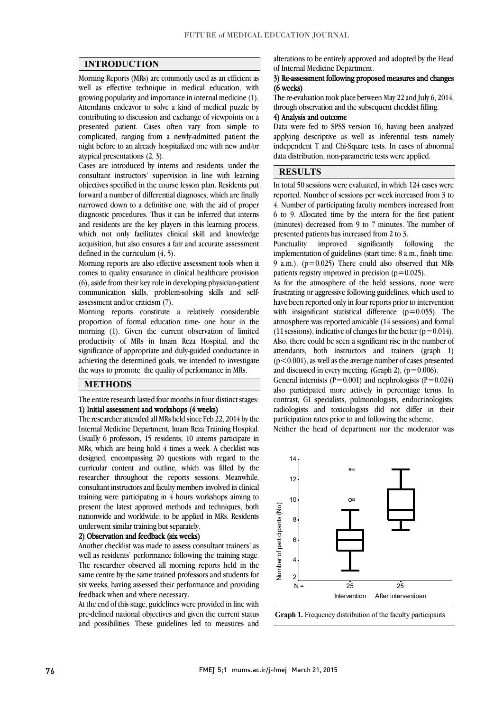$\overline{a}$  $\overline{a}$ 

## INTRODUCTION

 Morning Reports (MRs) are commonly used as an efficient as well as effective technique in medical education, with Attendants endeavor to solve a kind of medical puzzle by contributing to discussion and exchange of viewpoints on a presented patient. Cases often vary from simple to complicated, ranging from a newly-admitted patient the night before to an already hospitalized one with new and/or attraical presentations  $(2, 3)$ growing popularity and importance in internal medicine (1). atypical presentations (2, 3).

 Cases are introduced by interns and residents, under the consultant instructors' supervision in line with learning objectives specified in the course lesson plan. Residents put narrowed down to a definitive one, with the aid of proper diagnostic procedures. Thus it can be inferred that interns and residents are the key players in this learning process, which not only facilitates clinical skill and knowledge acquisition, but also ensures a fair and accurate assessment<br>defined in the curriculum (4–5) forward a number of differential diagnoses, which are finally defined in the curriculum (4, 5).

 Morning reports are also effective assessment tools when it comes to quality ensurance in clinical healthcare provision ا.<br>14 communication skills, problem-solving skills and self-(6), aside from their key role in developing physician-patient assessment and/or criticism (7).

 Morning reports constitute a relatively considerable proportion of formal education time- one hour in the productivity of MRs in Imam Reza Hospital, and the significance of appropriate and duly-guided conductance in achieving the determined goals, we intended to investigate morning (1). Given the current observation of limited the ways to promote the quality of performance in MRs.

# **METHODS**

 The entire research lasted four months in four distinct stages: 1) Initial assessment and workshops (4 weeks)

The researcher attended all MRs held since Feb 22, 2014 by the Usually 6 professors, 15 residents, 10 interns participate in MRs, which are being hold 4 times a week. A checklist was designed, encompassing 20 questions with regard to the curricular content and outline, which was lifted by the<br>researcher throughout the reports sessions. Meanwhile, consultant instructors and faculty members involved in clinical training were participating in 4 hours workshops aiming to present the latest approved methods and techniques, both nationwide and worldwide; to be applied in MRs. Residents Internal Medicine Department, Imam Reza Training Hospital. curricular content and outline, which was filled by the underwent similar training but separately.

### 2) Observation and feedback (six weeks)

 Another checklist was made to assess consultant trainers' as well as residents' performance following the training stage. same centre by the same trained professors and students for six weeks, having assessed their performance and providing The researcher observed all morning reports held in the feedback when and where necessary.

 At the end of this stage, guidelines were provided in line with and possibilities. These guidelines led to measures and pre-defined national objectives and given the current status

alterations to be entirely approved and adopted by the Head of Internal Medicine Department.

#### 3) Re-assessment following proposed measures and changes  $\overline{a}$ (6 weeks)

The re-evaluation took place between May 22 and July 6, 2014,<br>through observation and the subsequent checklist filling through observation and the subsequent checklist filling.

### 4) Analysis and outcome

 Data were fed to SPSS version 16, having been analyzed ņ independent T and Chi-Square tests. In cases of abnormal<br>data distribution, non-parametric tests were applied applying descriptive as well as inferential tests namely data distribution, non-parametric tests were applied.

 $\overline{a}$ 

#### $\overline{\phantom{a}}$  $\overline{\phantom{a}}$ RESULTS

 $\overline{a}$ In total 50 sessions were evaluated, in which 124 cases were<br>reported. Number of sessions per week increased from 3 to 4. Number of participating faculty members increased from 6 to 9. Allocated time by the intern for the first patient (minutes) decreased from 9 to 7 minutes. The number of In total 50 sessions were evaluated, in which 124 cases were presented patients has increased from 2 to 3.

the implementation of guidelines (start time: 8 a.m., finish time: 9 a.m.).  $(p=0.025)$  There could also observed that MRs Punctuality improved significantly following patients registry improved in precision  $(p=0.025)$ .

patients registry improved in precision ( $p=0.025$ ).<br>As for the atmosphere of the held sessions, none were frustrating or aggressive following guidelines, which used to have been reported only in four reports prior to intervention with insignificant statistical difference  $(p=0.055)$ . The atmosphere was reported amicable (14 sessions) and formal Also, there could be seen a significant rise in the number of attendants, both instructors and trainers (graph 1)  $(p<0.001)$ , as well as the average number of cases presented (11 sessions), indicative of changes for the better ( $p=0.014$ ). and discussed in every meeting. (Graph 2),  $(p=0.006)$ .

and discussed in every meeting. (Graph 2), ( $p=0.000$ ).<br>General internists ( $P=0.001$ ) and nephrologists ( $P=0.024$ ) also participated more actively in percentage terms. In contrast, GI specialists, pulmonologists, endocrinologists, radiologists and toxicologists did not differ in their  $\overline{\phantom{a}}$ participation rates prior to and following the scheme.

Neither the head of department nor the moderator was



Graph 1. Frequency distribution of the faculty participants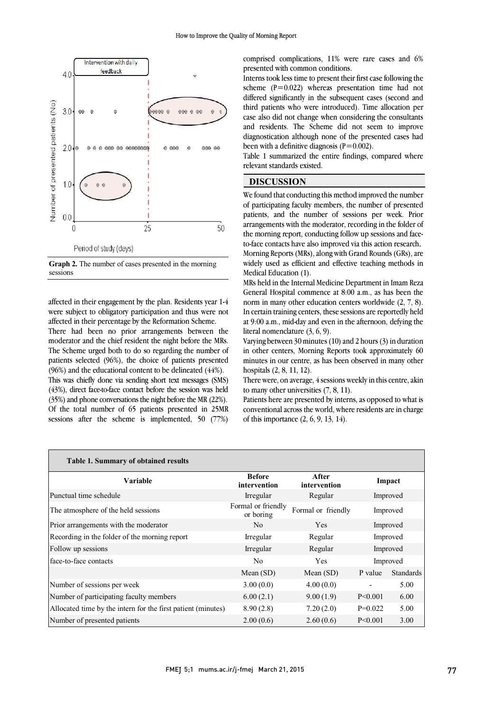$\overline{a}$ 



Graph 2. The number of cases presented in the morning sessions

 affected in their engagement by the plan. Residents year 1-4 were subject to obligatory participation and thus were not attected in their percentage by the Reformation Scheme.<br>There had been no prior arrangements between the moderator and the chief resident the night before the MRs. The Scheme urged both to do so regarding the number of patients selected (96%), the choice of patients presented  $(96%)$  and the educational content to be delineated  $(44%)$ . affected in their percentage by the Reformation Scheme.

 (43%), direct face-to-face contact before the session was held (35%) and phone conversations the night before the MR (22%). Of the total number of 65 patients presented in 25MR sessions after the scheme is implemented, 50 (77%) This was chiefly done via sending short text messages (SMS)

 $\overline{0}$  comprised complications, 11% were rare cases and 6% presented with common conditions.

 Interns took less time to present their first case following the scheme  $(P=0.022)$  whereas presentation time had not third patients who were introduced). Time allocation per and residents. The Scheme did not seem to improve diagnostication although none of the presented cases had differed significantly in the subsequent cases (second and case also did not change when considering the consultants been with a definitive diagnosis  $(P=0.002)$ .

 Table 1 summarized the entire findings, compared where relevant standards existed.

I

### DISCUSSION

 We found that conducting this method improved the number of participating faculty members, the number of presented patients, and the number of sessions per week. Prior arrangements with the moderator, recording in the folder of to-face contacts have also improved via this action research. Morning Reports (MRs), along with Grand Rounds (GRs), are widely used as efficient and effective teaching methods in the morning report, conducting follow up sessions and face-Medical Education (1).

Medical Education (1).<br>MRs held in the Internal Medicine Department in Imam Reza General Hospital commence at 8:00 a.m., as has been the norm in many other education centers worldwide (2, 7, 8). In certain training centers, these sessions are reportedly held at 9:00 a.m., mid-day and even in the afternoon, defying the literal nomenclature (3, 6, 9).

 Varying between 30 minutes (10) and 2 hours (3) in duration in other centers, Morning Reports took approximately 60 minutes in our centre, as has been observed in many other hospitals (2, 8, 11, 12).

There were, on average,  $\frac{4}{3}$  sessions weekly in this centre, akin<br>to many other universities  $(7, 8, 11)$ to many other universities (7, 8, 11).

 Patients here are presented by interns, as opposed to what is conventional across the world, where residents are in charge of this importance (2, 6, 9, 13, 14).

| Table 1. Summary of obtained results<br>Variable             | <b>Before</b>                   | After                   | Impact<br>Improved |                  |
|--------------------------------------------------------------|---------------------------------|-------------------------|--------------------|------------------|
| Punctual time schedule                                       | intervention<br>Irregular       | intervention<br>Regular |                    |                  |
| The atmosphere of the held sessions                          | Formal or friendly<br>or boring | Formal or friendly      | Improved           |                  |
| Prior arrangements with the moderator                        | N <sub>0</sub>                  | <b>Yes</b>              | Improved           |                  |
| Recording in the folder of the morning report                | Irregular                       | Regular                 | Improved           |                  |
| Follow up sessions                                           | Irregular                       | Regular                 | Improved           |                  |
| face-to-face contacts                                        | N <sub>0</sub>                  | Yes                     | Improved           |                  |
|                                                              | Mean $(SD)$                     | Mean $(SD)$             | P value            | <b>Standards</b> |
| Number of sessions per week                                  | 3.00(0.0)                       | 4.00(0.0)               |                    | 5.00             |
| Number of participating faculty members                      | 6.00(2.1)                       | 9.00(1.9)               | $P \le 0.001$      | 6.00             |
| Allocated time by the intern for the first patient (minutes) | 8.90(2.8)                       | 7.20(2.0)               | $P=0.022$          | 5.00             |
| Number of presented patients                                 | 2.00(0.6)                       | 2.60(0.6)               | $P \le 0.001$      | 3.00             |

j.